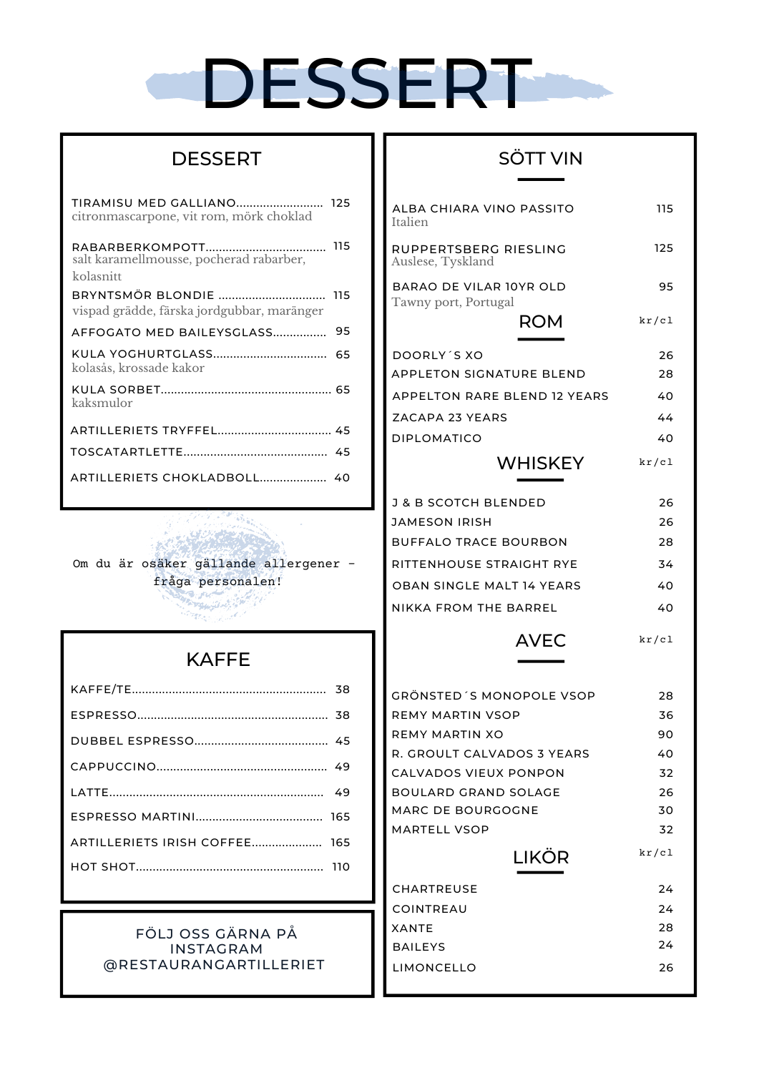# DESSERT-

### **DESSERT**

| TIRAMISU MED GALLIANO 125<br>citronmascarpone, vit rom, mörk choklad |     |
|----------------------------------------------------------------------|-----|
| salt karamellmousse, pocherad rabarber,                              | 115 |
| kolasnitt                                                            |     |
| BRYNTSMÖR BLONDIE<br>vispad grädde, färska jordgubbar, maränger      | 115 |
| AFFOGATO MED BAILEYSGLASS                                            | 95  |
| kolasås, krossade kakor                                              | 65  |
| kaksmulor                                                            |     |
| ARTILLERIETS TRYFFEL 45                                              |     |
|                                                                      |     |
|                                                                      |     |

Om du är osäker gällande allergener fråga personalen!

## KAFFE

| ARTILLERIETS IRISH COFFEE 165 |  |
|-------------------------------|--|
|                               |  |
|                               |  |

#### FÖLJ OSS GÄRNA PÅ INSTAGRAM @RESTAURANGARTILLERIET

## SÖTT VIN

| ALBA CHIARA VINO PASSITO<br>Italien             | 115      |
|-------------------------------------------------|----------|
| RUPPERTSBERG RIESLING<br>Auslese, Tyskland      | 125      |
| BARAO DE VILAR 10YR OLD<br>Tawny port, Portugal | 95       |
| ROM                                             | kr/c1    |
| DOORLY'S XO                                     | 26       |
| APPLETON SIGNATURE BLEND                        | 28       |
| APPELTON RARE BLEND 12 YEARS                    | 40       |
| ZACAPA 23 YEARS                                 | 44       |
| <b>DIPLOMATICO</b>                              | 40       |
| WHISKEY                                         | kr/c1    |
|                                                 |          |
| <b>J &amp; B SCOTCH BLENDED</b>                 | 26       |
| JAMESON IRISH                                   | 26       |
| BUFFALO TRACE BOURBON                           | 28       |
| RITTENHOUSE STRAIGHT RYE                        | 34       |
| OBAN SINGLE MALT 14 YEARS                       | 40       |
| NIKKA FROM THE BARREL                           | 40       |
| <b>AVEC</b>                                     | kr/c1    |
|                                                 |          |
| GRÖNSTED´S MONOPOLE VSOP<br>REMY MARTIN VSOP    | 28<br>36 |
| REMY MARTIN XO                                  | 90       |
| R. GROULT CALVADOS 3 YEARS                      | 40       |
| CALVADOS VIEUX PONPON                           | 32       |
| <b>BOULARD GRAND SOLAGE</b>                     | 26       |
| MARC DE BOURGOGNE                               | 30       |
| MARTELL VSOP                                    | 32       |
| LIKÖR                                           | kr/c1    |
| CHARTREUSE                                      | 24       |
| COINTREAU                                       | 24       |
| XANTE                                           | 28       |
| <b>BAILEYS</b>                                  | 24       |
| LIMONCELLO                                      | 26       |
|                                                 |          |